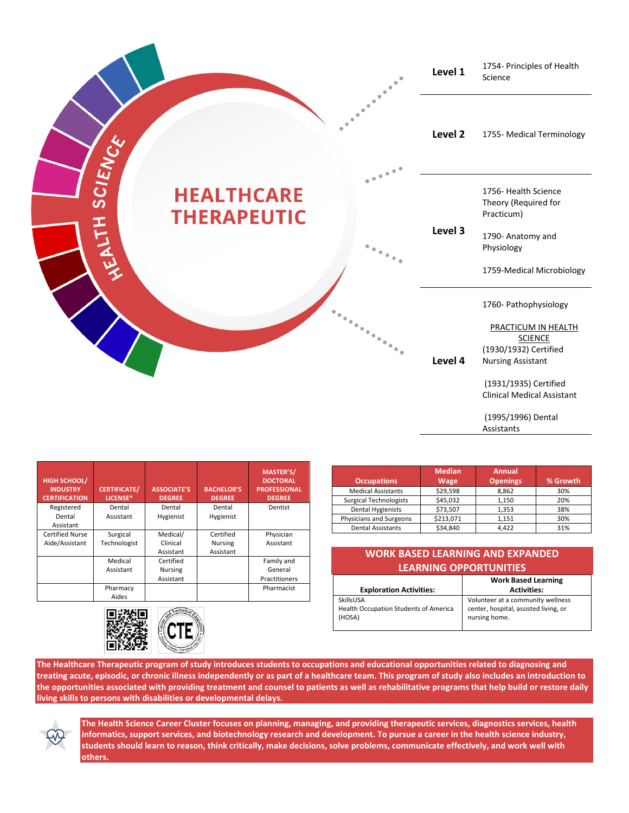

| <b>HIGH SCHOOL/</b><br><b>INDUSTRY</b><br><b>CERTIFICATION</b> | <b>CERTIFICATE/</b><br>LICENSE* | <b>ASSOCIATE'S</b><br><b>DEGREE</b> | <b>BACHELOR'S</b><br><b>DEGREE</b> | <b>MASTER'S/</b><br><b>DOCTORAL</b><br><b>PROFESSIONAL</b><br><b>DEGREE</b> |
|----------------------------------------------------------------|---------------------------------|-------------------------------------|------------------------------------|-----------------------------------------------------------------------------|
| Registered                                                     | Dental                          | Dental                              | Dental                             | Dentist                                                                     |
| Dental                                                         | Assistant                       | Hygienist                           | Hygienist                          |                                                                             |
| Assistant                                                      |                                 |                                     |                                    |                                                                             |
| Certified Nurse                                                | Surgical                        | Medical/                            | Certified                          | Physician                                                                   |
| Aide/Assistant                                                 | Technologist                    | Clinical                            | <b>Nursing</b>                     | Assistant                                                                   |
|                                                                |                                 | Assistant                           | Assistant                          |                                                                             |
|                                                                | Medical                         | Certified                           |                                    | Family and                                                                  |
|                                                                | Assistant                       | <b>Nursing</b>                      |                                    | General                                                                     |
|                                                                |                                 | Assistant                           |                                    | Practitioners                                                               |
|                                                                | Pharmacy                        |                                     |                                    | Pharmacist                                                                  |
|                                                                | Aides                           |                                     |                                    |                                                                             |



|                               | <b>Median</b> | <b>Annual</b>   |          |
|-------------------------------|---------------|-----------------|----------|
| <b>Occupations</b>            | <b>Wage</b>   | <b>Openings</b> | % Growth |
| <b>Medical Assistants</b>     | \$29,598      | 8,862           | 30%      |
| <b>Surgical Technologists</b> | \$45,032      | 1.150           | 20%      |
| <b>Dental Hygienists</b>      | \$73,507      | 1.353           | 38%      |
| Physicians and Surgeons       | \$213,071     | 1.151           | 30%      |
| <b>Dental Assistants</b>      | \$34.840      | 4.422           | 31%      |

| <b>WORK BASED LEARNING AND EXPANDED</b> |  |
|-----------------------------------------|--|
| <b>LEARNING OPPORTUNITIES</b>           |  |

|                                                 | <b>Work Based Learning</b>                             |
|-------------------------------------------------|--------------------------------------------------------|
| <b>Exploration Activities:</b>                  | <b>Activities:</b>                                     |
| SkillsUSA                                       | Volunteer at a community wellness                      |
| Health Occupation Students of America<br>(HOSA) | center, hospital, assisted living, or<br>nursing home. |

**The Healthcare Therapeutic program of study introduces students to occupations and educational opportunities related to diagnosing and treating acute, episodic, or chronic illness independently or as part of a healthcare team. This program of study also includes an introduction to the opportunities associated with providing treatment and counsel to patients as well as rehabilitative programs that help build or restore daily living skills to persons with disabilities or developmental delays.**



**The Health Science Career Cluster focuses on planning, managing, and providing therapeutic services, diagnostics services, health informatics, support services, and biotechnology research and development. To pursue a career in the health science industry, students should learn to reason, think critically, make decisions, solve problems, communicate effectively, and work well with others.**